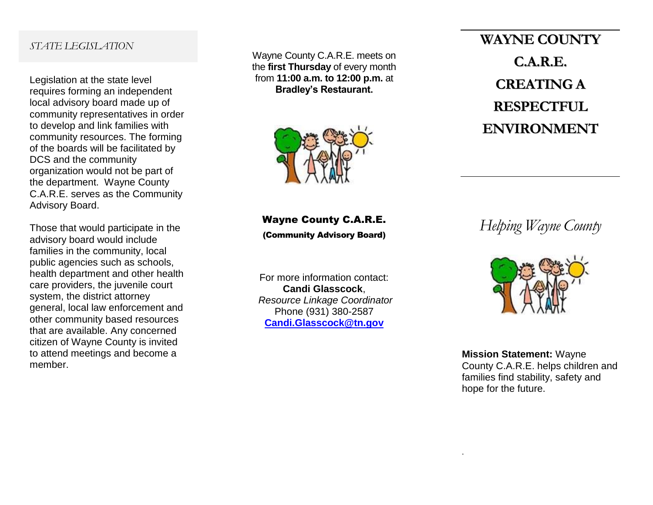## *STATE LEGISLATION*

Legislation at the state level requires forming an independent local advisory board made up of community representatives in order to develop and link families with community resources. The forming of the boards will be facilitated by DCS and the community organization would not be part of the department. Wayne County C.A.R.E. serves as the Community Advisory Board.

Those that would participate in the advisory board would include families in the community, local public agencies such as schools, health department and other health care providers, the juvenile court system, the district attorney general, local law enforcement and other community based resources that are available. Any concerned citizen of Wayne County is invited to attend meetings and become a member.

Wayne County C.A.R.E. meets on the **first Thursday** of every month from **11:00 a.m. to 12:00 p.m.** at **Bradley's Restaurant.**



Wayne County C.A.R.E. (Community Advisory Board)

For more information contact: **Candi Glasscock**, *Resource Linkage Coordinator* Phone (931) 380-2587 **[Candi.Glasscock@tn.gov](mailto:Candi.Glasscock@tn.gov)**

**WAYNE COUNTY C.A.R.E. CREATING A RESPECTFUL ENVIRONMENT**

*Helping Wayne County*



**Mission Statement:** Wayne County C.A.R.E. helps children and families find stability, safety and hope for the future.

.